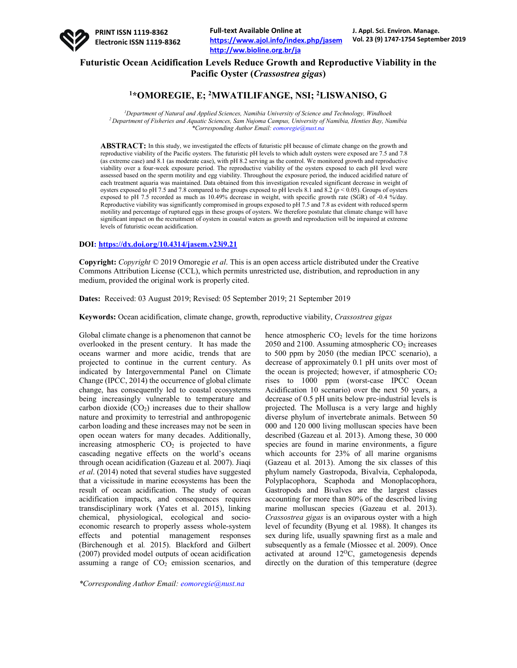

# **Futuristic Ocean Acidification Levels Reduce Growth and Reproductive Viability in the Pacific Oyster (***Crassostrea gigas***)**

## **1\*OMOREGIE, E; 2 MWATILIFANGE, NSI; 2LISWANISO, G**

*1 Department of Natural and Applied Sciences, Namibia University of Science and Technology, Windhoek 2 Department of Fisheries and Aquatic Sciences, Sam Nujoma Campus, University of Namibia, Henties Bay, Namibia \*Corresponding Author Email: eomoregie@nust.na*

**ABSTRACT:** In this study, we investigated the effects of futuristic pH because of climate change on the growth and reproductive viability of the Pacific oysters. The futuristic pH levels to which adult oysters were exposed are 7.5 and 7.8 (as extreme case) and 8.1 (as moderate case), with pH 8.2 serving as the control. We monitored growth and reproductive viability over a four-week exposure period. The reproductive viability of the oysters exposed to each pH level were assessed based on the sperm motility and egg viability. Throughout the exposure period, the induced acidified nature of each treatment aquaria was maintained. Data obtained from this investigation revealed significant decrease in weight of oysters exposed to pH 7.5 and 7.8 compared to the groups exposed to pH levels 8.1 and 8.2 (*p* < 0.05). Groups of oysters exposed to pH 7.5 recorded as much as 10.49% decrease in weight, with specific growth rate (SGR) of -0.4 %/day. Reproductive viability was significantly compromised in groups exposed to pH 7.5 and 7.8 as evident with reduced sperm motility and percentage of ruptured eggs in these groups of oysters. We therefore postulate that climate change will have significant impact on the recruitment of oysters in coastal waters as growth and reproduction will be impaired at extreme levels of futuristic ocean acidification.

#### **DOI: https://dx.doi.org/10.4314/jasem.v23i9.21**

**Copyright:** *Copyright* © 2019 Omoregie *et al*. This is an open access article distributed under the Creative Commons Attribution License (CCL), which permits unrestricted use, distribution, and reproduction in any medium, provided the original work is properly cited.

**Dates:** Received: 03 August 2019; Revised: 05 September 2019; 21 September 2019

**Keywords:** Ocean acidification, climate change, growth, reproductive viability, *Crassostrea gigas*

Global climate change is a phenomenon that cannot be overlooked in the present century. It has made the oceans warmer and more acidic, trends that are projected to continue in the current century. As indicated by Intergovernmental Panel on Climate Change (IPCC, 2014) the occurrence of global climate change, has consequently led to coastal ecosystems being increasingly vulnerable to temperature and carbon dioxide  $(CO<sub>2</sub>)$  increases due to their shallow nature and proximity to terrestrial and anthropogenic carbon loading and these increases may not be seen in open ocean waters for many decades. Additionally, increasing atmospheric  $CO<sub>2</sub>$  is projected to have cascading negative effects on the world's oceans through ocean acidification (Gazeau et al*.* 2007). Jiaqi *et al*. (2014) noted that several studies have suggested that a vicissitude in marine ecosystems has been the result of ocean acidification. The study of ocean acidification impacts, and consequences requires transdisciplinary work (Yates et al. 2015), linking chemical, physiological, ecological and socioeconomic research to properly assess whole-system effects and potential management responses (Birchenough et al*.* 2015). Blackford and Gilbert (2007) provided model outputs of ocean acidification assuming a range of  $CO<sub>2</sub>$  emission scenarios, and hence atmospheric  $CO<sub>2</sub>$  levels for the time horizons 2050 and 2100. Assuming atmospheric  $CO<sub>2</sub>$  increases to 500 ppm by 2050 (the median IPCC scenario), a decrease of approximately 0.1 pH units over most of the ocean is projected; however, if atmospheric  $CO<sub>2</sub>$ rises to 1000 ppm (worst-case IPCC Ocean Acidification 10 scenario) over the next 50 years, a decrease of 0.5 pH units below pre-industrial levels is projected. The Mollusca is a very large and highly diverse phylum of invertebrate animals. Between 50 000 and 120 000 living molluscan species have been described (Gazeau et al*.* 2013). Among these, 30 000 species are found in marine environments, a figure which accounts for 23% of all marine organisms (Gazeau et al*.* 2013). Among the six classes of this phylum namely Gastropoda, Bivalvia, Cephalopoda, Polyplacophora, Scaphoda and Monoplacophora, Gastropods and Bivalves are the largest classes accounting for more than 80% of the described living marine molluscan species (Gazeau et al. 2013). *Crassostrea gigas* is an oviparous oyster with a high level of fecundity (Byung et al*.* 1988). It changes its sex during life, usually spawning first as a male and subsequently as a female (Miossec et al. 2009). Once activated at around  $12^{\circ}$ C, gametogenesis depends directly on the duration of this temperature (degree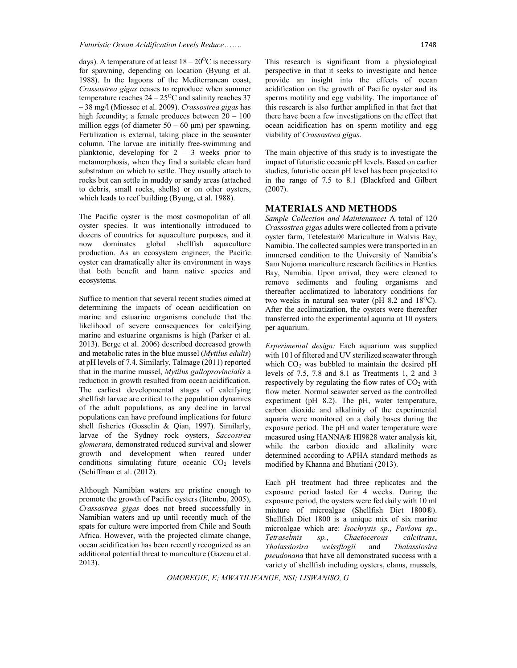days). A temperature of at least  $18-20^{\circ}\text{C}$  is necessary for spawning, depending on location (Byung et al. 1988). In the lagoons of the Mediterranean coast, *Crassostrea gigas* ceases to reproduce when summer temperature reaches  $24 - 25^{\circ}$ C and salinity reaches 37 ‒ 38 mg/l (Miossec et al. 2009). *Crassostrea gigas* has high fecundity; a female produces between  $20 - 100$ million eggs (of diameter  $50 - 60 \mu m$ ) per spawning. Fertilization is external, taking place in the seawater column. The larvae are initially free‐swimming and planktonic, developing for  $2 - 3$  weeks prior to metamorphosis, when they find a suitable clean hard substratum on which to settle. They usually attach to rocks but can settle in muddy or sandy areas (attached to debris, small rocks, shells) or on other oysters, which leads to reef building (Byung, et al. 1988).

The Pacific oyster is the most cosmopolitan of all oyster species. It was intentionally introduced to dozens of countries for aquaculture purposes, and it now dominates global shellfish aquaculture production. As an ecosystem engineer, the Pacific oyster can dramatically alter its environment in ways that both benefit and harm native species and ecosystems.

Suffice to mention that several recent studies aimed at determining the impacts of ocean acidification on marine and estuarine organisms conclude that the likelihood of severe consequences for calcifying marine and estuarine organisms is high (Parker et al. 2013). Berge et al. 2006) described decreased growth and metabolic rates in the blue mussel (*Mytilus edulis*) at pH levels of 7.4. Similarly, Talmage (2011) reported that in the marine mussel, *Mytilus galloprovincialis* a reduction in growth resulted from ocean acidification. The earliest developmental stages of calcifying shellfish larvae are critical to the population dynamics of the adult populations, as any decline in larval populations can have profound implications for future shell fisheries (Gosselin & Qian, 1997). Similarly, larvae of the Sydney rock oysters, *Saccostrea glomerata*, demonstrated reduced survival and slower growth and development when reared under conditions simulating future oceanic  $CO<sub>2</sub>$  levels (Schiffman et al. (2012).

Although Namibian waters are pristine enough to promote the growth of Pacific oysters (Iitembu, 2005), *Crassostrea gigas* does not breed successfully in Namibian waters and up until recently much of the spats for culture were imported from Chile and South Africa. However, with the projected climate change, ocean acidification has been recently recognized as an additional potential threat to mariculture (Gazeau et al. 2013).

This research is significant from a physiological perspective in that it seeks to investigate and hence provide an insight into the effects of ocean acidification on the growth of Pacific oyster and its sperms motility and egg viability. The importance of this research is also further amplified in that fact that there have been a few investigations on the effect that ocean acidification has on sperm motility and egg viability of *Crassostrea gigas*.

The main objective of this study is to investigate the impact of futuristic oceanic pH levels. Based on earlier studies, futuristic ocean pH level has been projected to in the range of 7.5 to 8.1 (Blackford and Gilbert (2007).

### **MATERIALS AND METHODS**

*Sample Collection and Maintenance:* A total of 120 *Crassostrea gigas* adults were collected from a private oyster farm, Tetelestai® Mariculture in Walvis Bay, Namibia. The collected samples were transported in an immersed condition to the University of Namibia's Sam Nujoma mariculture research facilities in Henties Bay, Namibia. Upon arrival, they were cleaned to remove sediments and fouling organisms and thereafter acclimatized to laboratory conditions for two weeks in natural sea water (pH  $8.2$  and  $18^{\circ}$ C). After the acclimatization, the oysters were thereafter transferred into the experimental aquaria at 10 oysters per aquarium.

*Experimental design:* Each aquarium was supplied with 10 l of filtered and UV sterilized seawater through which  $CO<sub>2</sub>$  was bubbled to maintain the desired pH levels of 7.5, 7.8 and 8.1 as Treatments 1, 2 and 3 respectively by regulating the flow rates of  $CO<sub>2</sub>$  with flow meter. Normal seawater served as the controlled experiment (pH 8.2). The pH, water temperature, carbon dioxide and alkalinity of the experimental aquaria were monitored on a daily bases during the exposure period. The pH and water temperature were measured using HANNA® HI9828 water analysis kit, while the carbon dioxide and alkalinity were determined according to APHA standard methods as modified by Khanna and Bhutiani (2013).

Each pH treatment had three replicates and the exposure period lasted for 4 weeks. During the exposure period, the oysters were fed daily with 10 ml mixture of microalgae (Shellfish Diet 1800®). Shellfish Diet 1800 is a unique mix of six marine microalgae which are: *Isochrysis sp.*, *Pavlova sp.*,  $sp.,$  *Chaetocerous Thalassiosira weissflogii* and *Thalassiosira pseudonana* that have all demonstrated success with a variety of shellfish including oysters, clams, mussels,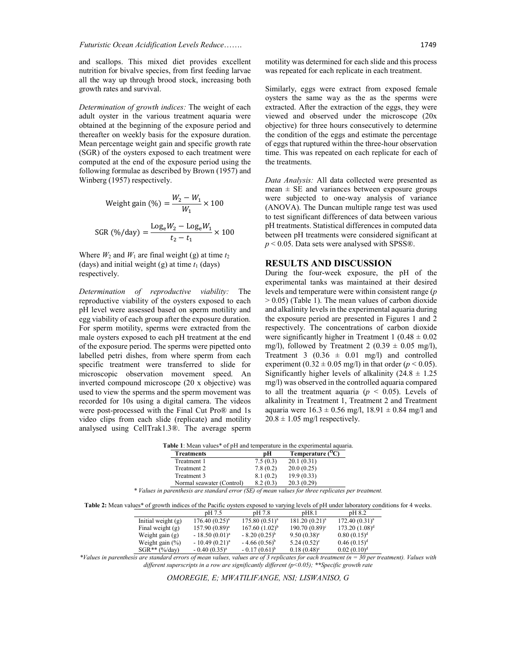and scallops. This mixed diet provides excellent nutrition for bivalve species, from first feeding larvae all the way up through brood stock, increasing both growth rates and survival.

*Determination of growth indices:* The weight of each adult oyster in the various treatment aquaria were obtained at the beginning of the exposure period and thereafter on weekly basis for the exposure duration. Mean percentage weight gain and specific growth rate (SGR) of the oysters exposed to each treatment were computed at the end of the exposure period using the following formulae as described by Brown (1957) and Winberg (1957) respectively.

Weight gain (
$$
\%
$$
) =  $\frac{W_2 - W_1}{W_1} \times 100$   
SGR ( $\% / \text{day}$ ) =  $\frac{\text{Log}_e W_2 - \text{Log}_e W_1}{t_2 - t_1} \times 100$ 

Where  $W_2$  and  $W_1$  are final weight (g) at time  $t_2$ (days) and initial weight (g) at time *t*<sup>1</sup> (days) respectively.

*Determination of reproductive viability:* The reproductive viability of the oysters exposed to each pH level were assessed based on sperm motility and egg viability of each group after the exposure duration. For sperm motility, sperms were extracted from the male oysters exposed to each pH treatment at the end of the exposure period. The sperms were pipetted onto labelled petri dishes, from where sperm from each specific treatment were transferred to slide for microscopic observation movement speed. An inverted compound microscope (20 x objective) was used to view the sperms and the sperm movement was recorded for 10s using a digital camera. The videos were post-processed with the Final Cut Pro® and 1s video clips from each slide (replicate) and motility analysed using CellTrak1.3®. The average sperm

motility was determined for each slide and this process was repeated for each replicate in each treatment.

Similarly, eggs were extract from exposed female oysters the same way as the as the sperms were extracted. After the extraction of the eggs, they were viewed and observed under the microscope (20x objective) for three hours consecutively to determine the condition of the eggs and estimate the percentage of eggs that ruptured within the three-hour observation time. This was repeated on each replicate for each of the treatments.

*Data Analysis:* All data collected were presented as mean  $\pm$  SE and variances between exposure groups were subjected to one-way analysis of variance (ANOVA). The Duncan multiple range test was used to test significant differences of data between various pH treatments. Statistical differences in computed data between pH treatments were considered significant at *p* < 0.05. Data sets were analysed with SPSS®.

#### **RESULTS AND DISCUSSION**

During the four-week exposure, the pH of the experimental tanks was maintained at their desired levels and temperature were within consistent range (*p*  > 0.05) (Table 1). The mean values of carbon dioxide and alkalinity levels in the experimental aquaria during the exposure period are presented in Figures 1 and 2 respectively. The concentrations of carbon dioxide were significantly higher in Treatment 1 ( $0.48 \pm 0.02$ ) mg/l), followed by Treatment 2 (0.39  $\pm$  0.05 mg/l), Treatment 3 ( $0.36 \pm 0.01$  mg/l) and controlled experiment  $(0.32 \pm 0.05 \text{ mg/l})$  in that order  $(p < 0.05)$ . Significantly higher levels of alkalinity  $(24.8 \pm 1.25)$ mg/l) was observed in the controlled aquaria compared to all the treatment aquaria ( $p < 0.05$ ). Levels of alkalinity in Treatment 1, Treatment 2 and Treatment aquaria were  $16.3 \pm 0.56$  mg/l,  $18.91 \pm 0.84$  mg/l and  $20.8 \pm 1.05$  mg/l respectively.

| <b>Treatments</b>                              | pН         | Temperature $(^{0}C)$ |  |
|------------------------------------------------|------------|-----------------------|--|
| Treatment 1                                    | 7.5(0.3)   | 20.1(0.31)            |  |
| Treatment 2                                    | 7.8(0.2)   | 20.0(0.25)            |  |
| Treatment 3                                    | 8.1(0.2)   | 19.9(0.33)            |  |
| Normal seawater (Control)                      | 8.2(0.3)   | 20.3(0.29)            |  |
| $\mathbf{r}$ and $\mathbf{r}$ and $\mathbf{r}$ | $\sqrt{a}$ | $\sim$ $\sim$         |  |

*\* Values in parenthesis are standard error (SE) of mean values for three replicates per treatment.*

**Table 2:** Mean values\* of growth indices of the Pacific oysters exposed to varying levels of pH under laboratory conditions for 4 weeks.

|                      | pH 7.5             | pH 7.8             | pH8.1                  | pH 8.2                    |  |
|----------------------|--------------------|--------------------|------------------------|---------------------------|--|
| Initial weight $(g)$ | $176.40(0.25)^{a}$ | $175.80(0.51)^a$   | $181.20 (0.21)^a$      | 172.40(0.31) <sup>a</sup> |  |
| Final weight $(g)$   | $157.90(0.89)^a$   | $167.60(1.02)^{b}$ | $190.70(0.89)^{\circ}$ | $173.20(1.08)^d$          |  |
| Weight gain $(g)$    | $-18.50(0.01)^a$   | $-8.20(0.25)^{b}$  | $9.50(0.38)^{\circ}$   | $0.80(0.15)^d$            |  |
| Weight gain $(\%)$   | $-10.49(0.21)^a$   | $-4.66(0.56)^{b}$  | $5.24(0.52)^{\circ}$   | $0.46(0.15)^d$            |  |
| $SGR**$ (%/day)      | $-0.40(0.35)^{a}$  | $-0.17(0.61)^{b}$  | $0.18(0.48)^c$         | 0.02(0.10) <sup>d</sup>   |  |
|                      |                    | --                 |                        | $-$                       |  |

*\*Values in parenthesis are standard errors of mean values, values are of 3 replicates for each treatment (n = 30 per treatment). Values with different superscripts in a row are significantly different (p<0.05); \*\*Specific growth rate*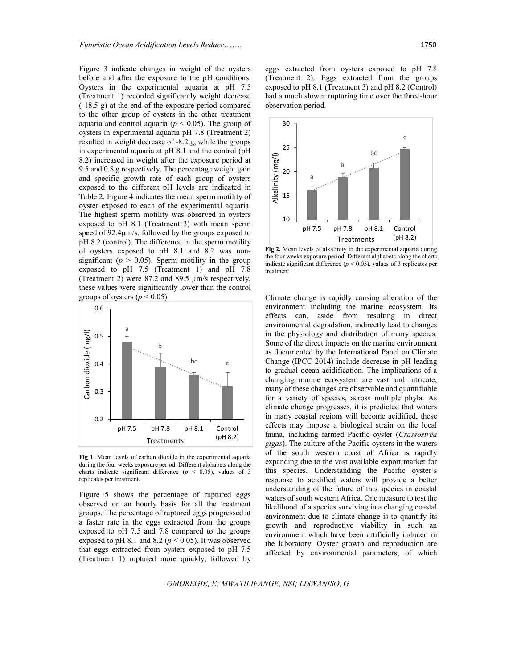Figure 3 indicate changes in weight of the oysters before and after the exposure to the pH conditions. Oysters in the experimental aquaria at pH 7.5 (Treatment 1) recorded significantly weight decrease (-18.5 g) at the end of the exposure period compared to the other group of oysters in the other treatment aquaria and control aquaria ( $p < 0.05$ ). The group of oysters in experimental aquaria pH 7.8 (Treatment 2) resulted in weight decrease of -8.2 g, while the groups in experimental aquaria at pH 8.1 and the control (pH 8.2) increased in weight after the exposure period at 9.5 and 0.8 g respectively. The percentage weight gain and specific growth rate of each group of oysters exposed to the different pH levels are indicated in Table 2. Figure 4 indicates the mean sperm motility of oyster exposed to each of the experimental aquaria. The highest sperm motility was observed in oysters exposed to pH 8.1 (Treatment 3) with mean sperm speed of 92.4µm/s, followed by the groups exposed to pH 8.2 (control). The difference in the sperm motility of oysters exposed to pH 8.1 and 8.2 was nonsignificant ( $p > 0.05$ ). Sperm motility in the group exposed to pH 7.5 (Treatment 1) and pH 7.8 (Treatment 2) were 87.2 and 89.5 µm/s respectively, these values were significantly lower than the control groups of oysters ( $p < 0.05$ ).



**Fig 1.** Mean levels of carbon dioxide in the experimental aquaria during the four weeks exposure period. Different alphabets along the charts indicate significant difference ( $p < 0.05$ ), values of 3 replicates per treatment.

Figure 5 shows the percentage of ruptured eggs observed on an hourly basis for all the treatment groups. The percentage of ruptured eggs progressed at a faster rate in the eggs extracted from the groups exposed to pH 7.5 and 7.8 compared to the groups exposed to pH 8.1 and 8.2 ( $p < 0.05$ ). It was observed that eggs extracted from oysters exposed to pH 7.5 (Treatment 1) ruptured more quickly, followed by eggs extracted from oysters exposed to pH 7.8 (Treatment 2). Eggs extracted from the groups exposed to pH 8.1 (Treatment 3) and pH 8.2 (Control) had a much slower rupturing time over the three-hour observation period.



**Fig 2.** Mean levels of alkalinity in the experimental aquaria during the four weeks exposure period. Different alphabets along the charts indicate significant difference ( $p < 0.05$ ), values of 3 replicates per treatment.

Climate change is rapidly causing alteration of the environment including the marine ecosystem. Its effects can, aside from resulting in direct environmental degradation, indirectly lead to changes in the physiology and distribution of many species. Some of the direct impacts on the marine environment as documented by the International Panel on Climate Change (IPCC 2014) include decrease in pH leading to gradual ocean acidification. The implications of a changing marine ecosystem are vast and intricate, many of these changes are observable and quantifiable for a variety of species, across multiple phyla. As climate change progresses, it is predicted that waters in many coastal regions will become acidified, these effects may impose a biological strain on the local fauna, including farmed Pacific oyster (*Crassostrea gigas*). The culture of the Pacific oysters in the waters of the south western coast of Africa is rapidly expanding due to the vast available export market for this species. Understanding the Pacific oyster's response to acidified waters will provide a better understanding of the future of this species in coastal waters of south western Africa. One measure to test the likelihood of a species surviving in a changing coastal environment due to climate change is to quantify its growth and reproductive viability in such an environment which have been artificially induced in the laboratory. Oyster growth and reproduction are affected by environmental parameters, of which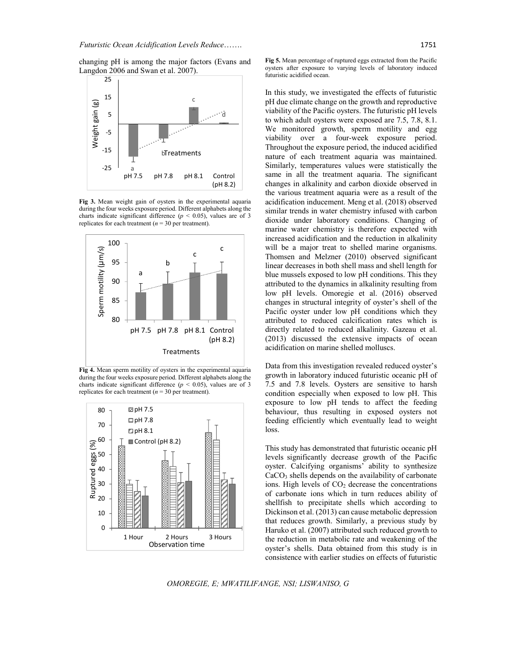changing pH is among the major factors (Evans and Langdon 2006 and Swan et al. 2007).



**Fig 3.** Mean weight gain of oysters in the experimental aquaria during the four weeks exposure period. Different alphabets along the charts indicate significant difference ( $p < 0.05$ ), values are of 3 replicates for each treatment  $(n = 30$  per treatment).



**Fig 4.** Mean sperm motility of oysters in the experimental aquaria during the four weeks exposure period. Different alphabets along the charts indicate significant difference  $(p < 0.05)$ , values are of 3 replicates for each treatment  $(n = 30$  per treatment).



**Fig 5.** Mean percentage of ruptured eggs extracted from the Pacific oysters after exposure to varying levels of laboratory induced futuristic acidified ocean.

In this study, we investigated the effects of futuristic pH due climate change on the growth and reproductive viability of the Pacific oysters. The futuristic pH levels to which adult oysters were exposed are 7.5, 7.8, 8.1. We monitored growth, sperm motility and egg viability over a four-week exposure period. Throughout the exposure period, the induced acidified nature of each treatment aquaria was maintained. Similarly, temperatures values were statistically the same in all the treatment aquaria. The significant changes in alkalinity and carbon dioxide observed in the various treatment aquaria were as a result of the acidification inducement. Meng et al. (2018) observed similar trends in water chemistry infused with carbon dioxide under laboratory conditions. Changing of marine water chemistry is therefore expected with increased acidification and the reduction in alkalinity will be a major treat to shelled marine organisms. Thomsen and Melzner (2010) observed significant linear decreases in both shell mass and shell length for blue mussels exposed to low pH conditions. This they attributed to the dynamics in alkalinity resulting from low pH levels. Omoregie et al. (2016) observed changes in structural integrity of oyster's shell of the Pacific oyster under low pH conditions which they attributed to reduced calcification rates which is directly related to reduced alkalinity. Gazeau et al. (2013) discussed the extensive impacts of ocean acidification on marine shelled molluscs.

Data from this investigation revealed reduced oyster's growth in laboratory induced futuristic oceanic pH of 7.5 and 7.8 levels. Oysters are sensitive to harsh condition especially when exposed to low pH. This exposure to low pH tends to affect the feeding behaviour, thus resulting in exposed oysters not feeding efficiently which eventually lead to weight loss.

This study has demonstrated that futuristic oceanic pH levels significantly decrease growth of the Pacific oyster. Calcifying organisms' ability to synthesize  $CaCO<sub>3</sub>$  shells depends on the availability of carbonate ions. High levels of  $CO<sub>2</sub>$  decrease the concentrations of carbonate ions which in turn reduces ability of shellfish to precipitate shells which according to Dickinson et al. (2013) can cause metabolic depression that reduces growth. Similarly, a previous study by Haruko et al. (2007) attributed such reduced growth to the reduction in metabolic rate and weakening of the oyster's shells. Data obtained from this study is in consistence with earlier studies on effects of futuristic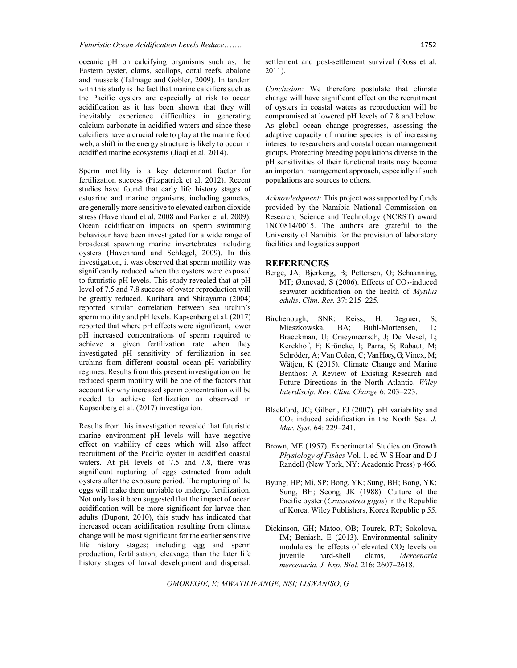oceanic pH on calcifying organisms such as, the Eastern oyster, clams, scallops, coral reefs, abalone and mussels (Talmage and Gobler, 2009). In tandem with this study is the fact that marine calcifiers such as the Pacific oysters are especially at risk to ocean acidification as it has been shown that they will inevitably experience difficulties in generating calcium carbonate in acidified waters and since these calcifiers have a crucial role to play at the marine food web, a shift in the energy structure is likely to occur in acidified marine ecosystems (Jiaqi et al. 2014).

Sperm motility is a key determinant factor for fertilization success (Fitzpatrick et al. 2012). Recent studies have found that early life history stages of estuarine and marine organisms, including gametes, are generally more sensitive to elevated carbon dioxide stress (Havenhand et al. 2008 and Parker et al. 2009). Ocean acidification impacts on sperm swimming behaviour have been investigated for a wide range of broadcast spawning marine invertebrates including oysters (Havenhand and Schlegel, 2009). In this investigation, it was observed that sperm motility was significantly reduced when the oysters were exposed to futuristic pH levels. This study revealed that at pH level of 7.5 and 7.8 success of oyster reproduction will be greatly reduced. Kurihara and Shirayama (2004) reported similar correlation between sea urchin's sperm motility and pH levels. Kapsenberg et al. (2017) reported that where pH effects were significant, lower pH increased concentrations of sperm required to achieve a given fertilization rate when they investigated pH sensitivity of fertilization in sea urchins from different coastal ocean pH variability regimes. Results from this present investigation on the reduced sperm motility will be one of the factors that account for why increased sperm concentration will be needed to achieve fertilization as observed in Kapsenberg et al. (2017) investigation.

Results from this investigation revealed that futuristic marine environment pH levels will have negative effect on viability of eggs which will also affect recruitment of the Pacific oyster in acidified coastal waters. At pH levels of 7.5 and 7.8, there was significant rupturing of eggs extracted from adult oysters after the exposure period. The rupturing of the eggs will make them unviable to undergo fertilization. Not only has it been suggested that the impact of ocean acidification will be more significant for larvae than adults (Dupont, 2010), this study has indicated that increased ocean acidification resulting from climate change will be most significant for the earlier sensitive life history stages; including egg and sperm production, fertilisation, cleavage, than the later life history stages of larval development and dispersal,

settlement and post-settlement survival (Ross et al. 2011).

*Conclusion:* We therefore postulate that climate change will have significant effect on the recruitment of oysters in coastal waters as reproduction will be compromised at lowered pH levels of 7.8 and below. As global ocean change progresses, assessing the adaptive capacity of marine species is of increasing interest to researchers and coastal ocean management groups. Protecting breeding populations diverse in the pH sensitivities of their functional traits may become an important management approach, especially if such populations are sources to others.

*Acknowledgment:* This project was supported by funds provided by the Namibia National Commission on Research, Science and Technology (NCRST) award 1NC0814/0015. The authors are grateful to the University of Namibia for the provision of laboratory facilities and logistics support.

#### **REFERENCES**

- Berge, JA; Bjerkeng, B; Pettersen, O; Schaanning, MT; Øxnevad, S (2006). Effects of  $CO<sub>2</sub>$ -induced seawater acidification on the health of *Mytilus edulis*. *Clim. Res.* 37: 215–225.
- Birchenough, SNR; Reiss, H; Degraer, S; Mieszkowska, BA; Buhl-Mortensen, L; Braeckman, U; Craeymeersch, J; De Mesel, L; Kerckhof, F; Kröncke, I; Parra, S; Rabaut, M; Schröder, A; Van Colen, C; Van Hoey, G; Vincx, M; Wätjen, K (2015). Climate Change and Marine Benthos: A Review of Existing Research and Future Directions in the North Atlantic. *Wiley Interdiscip. Rev. Clim. Change* 6: 203–223.
- Blackford, JC; Gilbert, FJ (2007). pH variability and CO2 induced acidification in the North Sea. *J. Mar. Syst.* 64: 229–241.
- Brown, ME (1957). Experimental Studies on Growth *Physiology of Fishes* Vol. 1. ed W S Hoar and D J Randell (New York, NY: Academic Press) p 466.
- Byung, HP; Mi, SP; Bong, YK; Sung, BH; Bong, YK; Sung, BH; Seong, JK (1988). Culture of the Pacific oyster (*Crassostrea gigas*) in the Republic of Korea. Wiley Publishers, Korea Republic p 55.
- Dickinson, GH; Matoo, OB; Tourek, RT; Sokolova, IM; Beniash, E (2013). Environmental salinity modulates the effects of elevated  $CO<sub>2</sub>$  levels on juvenile hard-shell clams, *Mercenaria mercenaria*. *J. Exp. Biol.* 216: 2607–2618.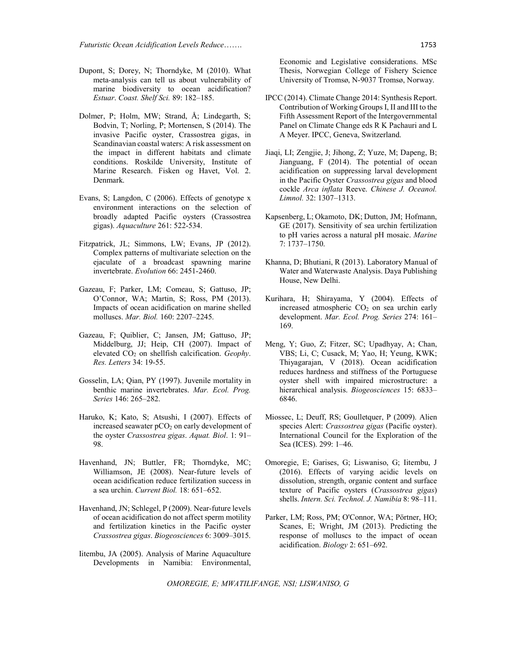- Dupont, S; Dorey, N; Thorndyke, M (2010). What meta-analysis can tell us about vulnerability of marine biodiversity to ocean acidification? *Estuar*. *Coast. Shelf Sci.* 89: 182–185.
- Dolmer, P; Holm, MW; Strand, Å; Lindegarth, S; Bodvin, T; Norling, P; Mortensen, S (2014). The invasive Pacific oyster, Crassostrea gigas, in Scandinavian coastal waters: A risk assessment on the impact in different habitats and climate conditions. Roskilde University, Institute of Marine Research. Fisken og Havet, Vol. 2. Denmark.
- Evans, S; Langdon, C (2006). Effects of genotype x environment interactions on the selection of broadly adapted Pacific oysters (Crassostrea gigas). *Aquaculture* 261: 522-534.
- Fitzpatrick, JL; Simmons, LW; Evans, JP (2012). Complex patterns of multivariate selection on the ejaculate of a broadcast spawning marine invertebrate. *Evolution* 66: 2451-2460.
- Gazeau, F; Parker, LM; Comeau, S; Gattuso, JP; O'Connor, WA; Martin, S; Ross, PM (2013). Impacts of ocean acidification on marine shelled molluscs. *Mar. Biol.* 160: 2207–2245.
- Gazeau, F; Quiblier, C; Jansen, JM; Gattuso, JP; Middelburg, JJ; Heip, CH (2007). Impact of elevated CO2 on shellfish calcification. *Geophy*. *Res. Letters* 34: 19-55.
- Gosselin, LA; Qian, PY (1997). Juvenile mortality in benthic marine invertebrates. *Mar. Ecol. Prog. Series* 146: 265–282.
- Haruko, K; Kato, S; Atsushi, I (2007). Effects of increased seawater pCO<sub>2</sub> on early development of the oyster *Crassostrea gigas*. *Aquat. Biol*. 1: 91– 98.
- Havenhand, JN; Buttler, FR; Thorndyke, MC; Williamson, JE (2008). Near-future levels of ocean acidification reduce fertilization success in a sea urchin. *Current Biol.* 18: 651–652.
- Havenhand, JN; Schlegel, P (2009). Near-future levels of ocean acidification do not affect sperm motility and fertilization kinetics in the Pacific oyster *Crassostrea gigas*. *Biogeosciences* 6: 3009–3015.
- Iitembu, JA (2005). Analysis of Marine Aquaculture Developments in Namibia: Environmental,

Economic and Legislative considerations. MSc Thesis, Norwegian College of Fishery Science University of Tromsø, N-9037 Tromsø, Norway.

- IPCC (2014). Climate Change 2014: Synthesis Report. Contribution of Working Groups I, II and III to the Fifth Assessment Report of the Intergovernmental Panel on Climate Change eds R K Pachauri and L A Meyer. IPCC, Geneva, Switzerland.
- Jiaqi, LI; Zengjie, J; Jihong, Z; Yuze, M; Dapeng, B; Jianguang, F (2014). The potential of ocean acidification on suppressing larval development in the Pacific Oyster *Crassostrea gigas* and blood cockle *Arca inflata* Reeve. *Chinese J. Oceanol. Limnol.* 32: 1307–1313.
- Kapsenberg, L; Okamoto, DK; Dutton, JM; Hofmann, GE (2017). Sensitivity of sea urchin fertilization to pH varies across a natural pH mosaic. *Marine* 7: 1737–1750.
- Khanna, D; Bhutiani, R (2013). Laboratory Manual of Water and Waterwaste Analysis. Daya Publishing House, New Delhi.
- Kurihara, H; Shirayama, Y (2004). Effects of increased atmospheric  $CO<sub>2</sub>$  on sea urchin early development. *Mar. Ecol. Prog. Series* 274: 161– 169.
- Meng, Y; Guo, Z; Fitzer, SC; Upadhyay, A; Chan, VBS; Li, C; Cusack, M; Yao, H; Yeung, KWK; Thiyagarajan, V (2018). Ocean acidification reduces hardness and stiffness of the Portuguese oyster shell with impaired microstructure: a hierarchical analysis. *Biogeosciences* 15: 6833– 6846.
- Miossec, L; Deuff, RS; Goulletquer, P (2009). Alien species Alert: *Crassostrea gigas* (Pacific oyster). International Council for the Exploration of the Sea (ICES). 299: 1–46.
- Omoregie, E; Garises, G; Liswaniso, G; Iitembu, J (2016). Effects of varying acidic levels on dissolution, strength, organic content and surface texture of Pacific oysters (*Crassostrea gigas*) shells. *Intern. Sci. Technol. J. Namibia* 8: 98–111.
- Parker, LM; Ross, PM; O'Connor, WA; Pörtner, HO; Scanes, E; Wright, JM (2013). Predicting the response of molluscs to the impact of ocean acidification. *Biology* 2: 651–692.